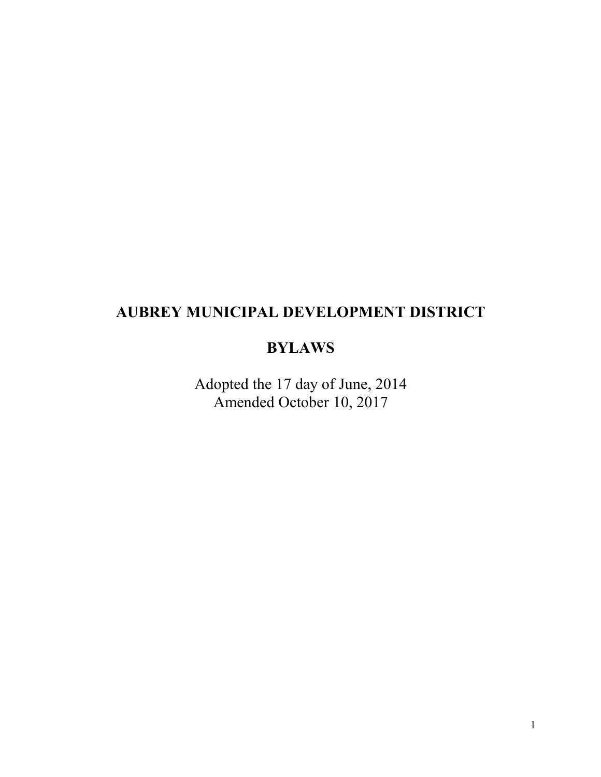# **AUBREY MUNICIPAL DEVELOPMENT DISTRICT**

## **BYLAWS**

Adopted the 17 day of June, 2014 Amended October 10, 2017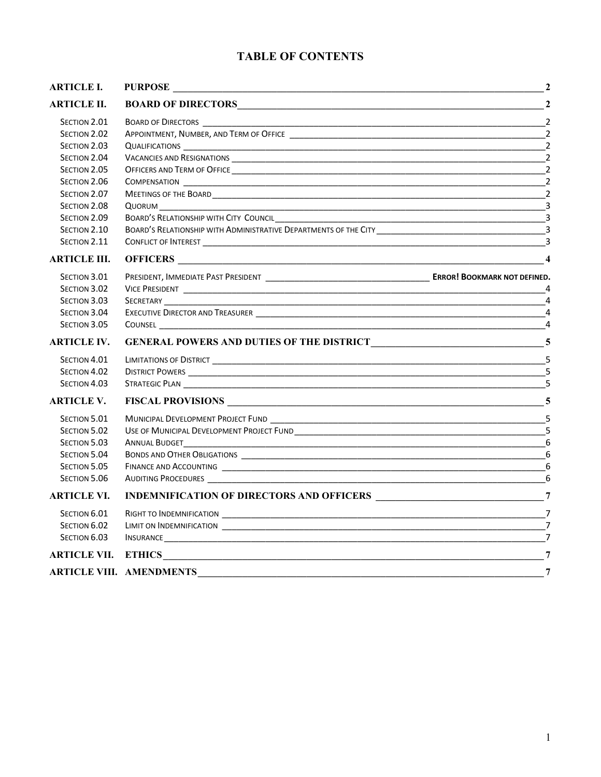## **TABLE OF CONTENTS**

| <b>ARTICLE I.</b>   |                                                                                                                                                                                                                                      | $\overline{\mathbf{2}}$ |
|---------------------|--------------------------------------------------------------------------------------------------------------------------------------------------------------------------------------------------------------------------------------|-------------------------|
| <b>ARTICLE II.</b>  |                                                                                                                                                                                                                                      | $\overline{2}$          |
| SECTION 2.01        |                                                                                                                                                                                                                                      |                         |
| SECTION 2.02        | APPOINTMENT, NUMBER, AND TERM OF OFFICE THE RESERVED OF THE RESERVED OF THE RESERVED OF THE RESERVED OF THE RESERVED OF THE RESERVED OF THE RESERVED OF THE RESERVED OF THE RESERVED OF THE RESERVED OF THE RESERVED OF THE RE       | $\overline{2}$          |
| SECTION 2.03        |                                                                                                                                                                                                                                      | $\overline{z}$          |
| SECTION 2.04        |                                                                                                                                                                                                                                      | $\overline{2}$          |
| SECTION 2.05        |                                                                                                                                                                                                                                      | $\overline{2}$          |
| SECTION 2.06        |                                                                                                                                                                                                                                      | $\overline{2}$          |
| SECTION 2.07        |                                                                                                                                                                                                                                      | $\overline{2}$          |
| SECTION 2.08        | QUORUM<br><u> 1989 - Johann Stoff, deutscher Stoff, der Stoff, der Stoff, der Stoff, der Stoff, der Stoff, der Stoff, der S</u>                                                                                                      | $\overline{\mathbf{3}}$ |
| SECTION 2.09        |                                                                                                                                                                                                                                      | $\overline{\mathbf{3}}$ |
| SECTION 2.10        | BOARD'S RELATIONSHIP WITH ADMINISTRATIVE DEPARTMENTS OF THE CITY <b>CONTRATION</b> CONTROL CONTROL CONTROL CONTROL CONTROL CONTROL CONTROL CONTROL CONTROL CONTROL CONTROL CONTROL CONTROL CONTROL CONTROL CONTROL CONTROL CONTROL   |                         |
| SECTION 2.11        |                                                                                                                                                                                                                                      |                         |
| <b>ARTICLE III.</b> |                                                                                                                                                                                                                                      |                         |
| SECTION 3.01        |                                                                                                                                                                                                                                      |                         |
| SECTION 3.02        |                                                                                                                                                                                                                                      |                         |
| SECTION 3.03        |                                                                                                                                                                                                                                      | $\overline{4}$          |
| SECTION 3.04        |                                                                                                                                                                                                                                      | $\overline{a}$          |
| SECTION 3.05        |                                                                                                                                                                                                                                      | $\overline{4}$          |
| <b>ARTICLE IV.</b>  |                                                                                                                                                                                                                                      |                         |
| SECTION 4.01        |                                                                                                                                                                                                                                      | $\overline{5}$          |
| SECTION 4.02        |                                                                                                                                                                                                                                      | 5                       |
| SECTION 4.03        |                                                                                                                                                                                                                                      | 5                       |
| <b>ARTICLE V.</b>   |                                                                                                                                                                                                                                      |                         |
| SECTION 5.01        |                                                                                                                                                                                                                                      |                         |
| SECTION 5.02        |                                                                                                                                                                                                                                      |                         |
| SECTION 5.03        |                                                                                                                                                                                                                                      |                         |
| SECTION 5.04        |                                                                                                                                                                                                                                      | 6                       |
| SECTION 5.05        |                                                                                                                                                                                                                                      | 6                       |
| SECTION 5.06        |                                                                                                                                                                                                                                      | 6                       |
| <b>ARTICLE VI.</b>  |                                                                                                                                                                                                                                      |                         |
| SECTION 6.01        |                                                                                                                                                                                                                                      |                         |
| SECTION 6.02        |                                                                                                                                                                                                                                      | $\overline{7}$          |
| SECTION 6.03        | INSURANCE <b>And All and All and All and All and All and All and All and All and All and All and All and All and All and All and All and All and All and All and All and All and All and All and All and All and All and All and</b> | $\overline{7}$          |
| <b>ARTICLE VII.</b> | ETHICS <b>EXAMPLE 2020</b>                                                                                                                                                                                                           | $\overline{7}$          |
|                     | ARTICLE VIII. AMENDMENTS                                                                                                                                                                                                             | $\overline{7}$          |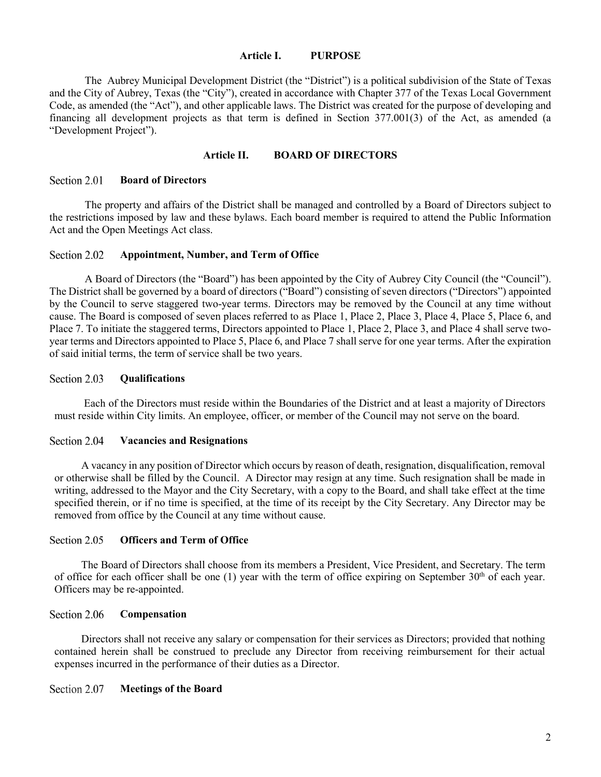### **Article I. PURPOSE**

<span id="page-2-0"></span>The Aubrey Municipal Development District (the "District") is a political subdivision of the State of Texas and the City of Aubrey, Texas (the "City"), created in accordance with Chapter 377 of the Texas Local Government Code, as amended (the "Act"), and other applicable laws. The District was created for the purpose of developing and financing all development projects as that term is defined in Section 377.001(3) of the Act, as amended (a "Development Project").

### **Article II. BOARD OF DIRECTORS**

#### <span id="page-2-2"></span><span id="page-2-1"></span>Section 2.01 **Board of Directors**

The property and affairs of the District shall be managed and controlled by a Board of Directors subject to the restrictions imposed by law and these bylaws. Each board member is required to attend the Public Information Act and the Open Meetings Act class.

#### <span id="page-2-3"></span>Section 2.02 **Appointment, Number, and Term of Office**

A Board of Directors (the "Board") has been appointed by the City of Aubrey City Council (the "Council"). The District shall be governed by a board of directors ("Board") consisting of seven directors ("Directors") appointed by the Council to serve staggered two-year terms. Directors may be removed by the Council at any time without cause. The Board is composed of seven places referred to as Place 1, Place 2, Place 3, Place 4, Place 5, Place 6, and Place 7. To initiate the staggered terms, Directors appointed to Place 1, Place 2, Place 3, and Place 4 shall serve twoyear terms and Directors appointed to Place 5, Place 6, and Place 7 shall serve for one year terms. After the expiration of said initial terms, the term of service shall be two years.

#### <span id="page-2-4"></span>Section 2.03 **Qualifications**

Each of the Directors must reside within the Boundaries of the District and at least a majority of Directors must reside within City limits. An employee, officer, or member of the Council may not serve on the board.

#### <span id="page-2-5"></span>Section 2.04 **Vacancies and Resignations**

A vacancy in any position of Director which occurs by reason of death, resignation, disqualification, removal or otherwise shall be filled by the Council. A Director may resign at any time. Such resignation shall be made in writing, addressed to the Mayor and the City Secretary, with a copy to the Board, and shall take effect at the time specified therein, or if no time is specified, at the time of its receipt by the City Secretary. Any Director may be removed from office by the Council at any time without cause.

#### <span id="page-2-6"></span>Section 2.05 **Officers and Term of Office**

The Board of Directors shall choose from its members a President, Vice President, and Secretary. The term of office for each officer shall be one (1) year with the term of office expiring on September  $30<sup>th</sup>$  of each year. Officers may be re-appointed.

#### <span id="page-2-7"></span>Section 2.06 **Compensation**

Directors shall not receive any salary or compensation for their services as Directors; provided that nothing contained herein shall be construed to preclude any Director from receiving reimbursement for their actual expenses incurred in the performance of their duties as a Director.

#### <span id="page-2-8"></span>Section 2.07 **Meetings of the Board**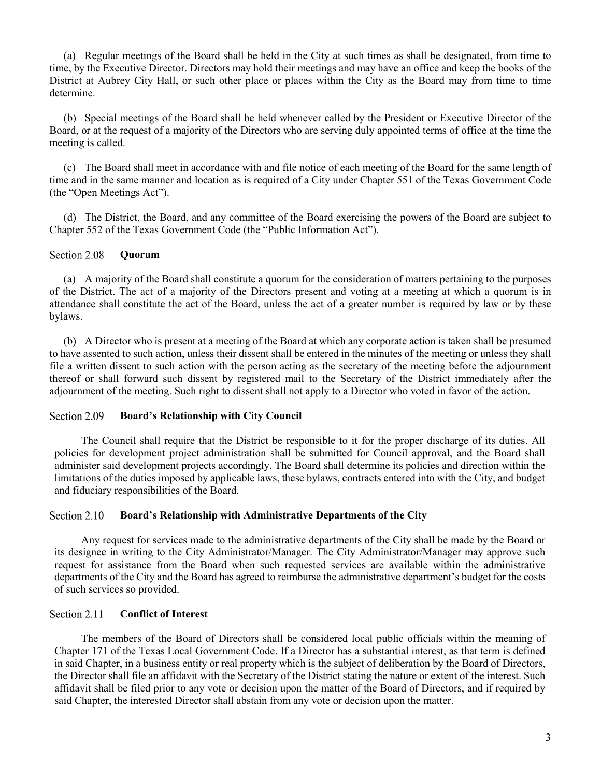(a) Regular meetings of the Board shall be held in the City at such times as shall be designated, from time to time, by the Executive Director. Directors may hold their meetings and may have an office and keep the books of the District at Aubrey City Hall, or such other place or places within the City as the Board may from time to time determine.

(b) Special meetings of the Board shall be held whenever called by the President or Executive Director of the Board, or at the request of a majority of the Directors who are serving duly appointed terms of office at the time the meeting is called.

(c) The Board shall meet in accordance with and file notice of each meeting of the Board for the same length of time and in the same manner and location as is required of a City under Chapter 551 of the Texas Government Code (the "Open Meetings Act").

(d) The District, the Board, and any committee of the Board exercising the powers of the Board are subject to Chapter 552 of the Texas Government Code (the "Public Information Act").

#### <span id="page-3-0"></span>Section 2.08 **Quorum**

(a) A majority of the Board shall constitute a quorum for the consideration of matters pertaining to the purposes of the District. The act of a majority of the Directors present and voting at a meeting at which a quorum is in attendance shall constitute the act of the Board, unless the act of a greater number is required by law or by these bylaws.

(b) A Director who is present at a meeting of the Board at which any corporate action is taken shall be presumed to have assented to such action, unless their dissent shall be entered in the minutes of the meeting or unless they shall file a written dissent to such action with the person acting as the secretary of the meeting before the adjournment thereof or shall forward such dissent by registered mail to the Secretary of the District immediately after the adjournment of the meeting. Such right to dissent shall not apply to a Director who voted in favor of the action.

#### <span id="page-3-1"></span>Section 2.09 **Board's Relationship with City Council**

The Council shall require that the District be responsible to it for the proper discharge of its duties. All policies for development project administration shall be submitted for Council approval, and the Board shall administer said development projects accordingly. The Board shall determine its policies and direction within the limitations of the duties imposed by applicable laws, these bylaws, contracts entered into with the City, and budget and fiduciary responsibilities of the Board.

#### <span id="page-3-2"></span>Section 2.10 **Board's Relationship with Administrative Departments of the City**

Any request for services made to the administrative departments of the City shall be made by the Board or its designee in writing to the City Administrator/Manager. The City Administrator/Manager may approve such request for assistance from the Board when such requested services are available within the administrative departments of the City and the Board has agreed to reimburse the administrative department's budget for the costs of such services so provided.

#### <span id="page-3-3"></span>Section 2.11 **Conflict of Interest**

The members of the Board of Directors shall be considered local public officials within the meaning of Chapter 171 of the Texas Local Government Code. If a Director has a substantial interest, as that term is defined in said Chapter, in a business entity or real property which is the subject of deliberation by the Board of Directors, the Director shall file an affidavit with the Secretary of the District stating the nature or extent of the interest. Such affidavit shall be filed prior to any vote or decision upon the matter of the Board of Directors, and if required by said Chapter, the interested Director shall abstain from any vote or decision upon the matter.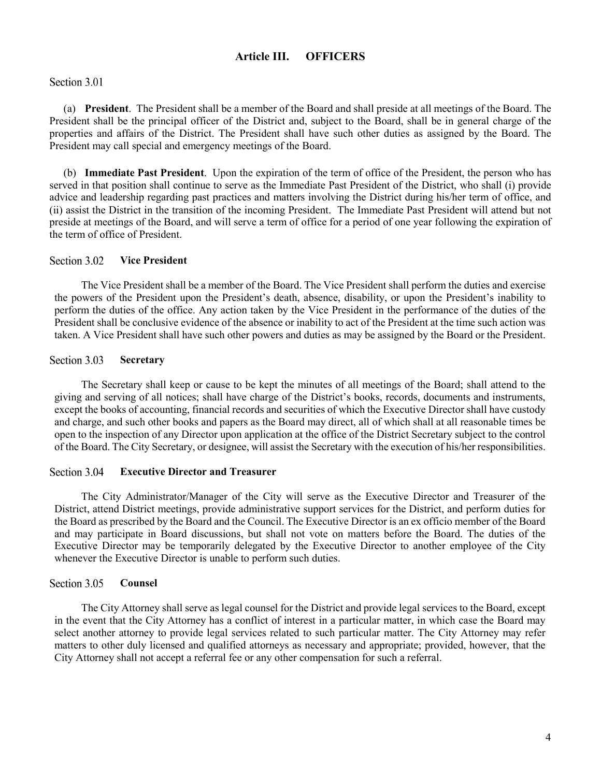### **Article III. OFFICERS**

### <span id="page-4-0"></span>Section 3.01

(a) **President**. The President shall be a member of the Board and shall preside at all meetings of the Board. The President shall be the principal officer of the District and, subject to the Board, shall be in general charge of the properties and affairs of the District. The President shall have such other duties as assigned by the Board. The President may call special and emergency meetings of the Board.

(b) **Immediate Past President**. Upon the expiration of the term of office of the President, the person who has served in that position shall continue to serve as the Immediate Past President of the District, who shall (i) provide advice and leadership regarding past practices and matters involving the District during his/her term of office, and (ii) assist the District in the transition of the incoming President. The Immediate Past President will attend but not preside at meetings of the Board, and will serve a term of office for a period of one year following the expiration of the term of office of President.

#### <span id="page-4-1"></span>Section 3.02 **Vice President**

The Vice President shall be a member of the Board. The Vice President shall perform the duties and exercise the powers of the President upon the President's death, absence, disability, or upon the President's inability to perform the duties of the office. Any action taken by the Vice President in the performance of the duties of the President shall be conclusive evidence of the absence or inability to act of the President at the time such action was taken. A Vice President shall have such other powers and duties as may be assigned by the Board or the President.

#### <span id="page-4-2"></span>Section 3.03 **Secretary**

The Secretary shall keep or cause to be kept the minutes of all meetings of the Board; shall attend to the giving and serving of all notices; shall have charge of the District's books, records, documents and instruments, except the books of accounting, financial records and securities of which the Executive Director shall have custody and charge, and such other books and papers as the Board may direct, all of which shall at all reasonable times be open to the inspection of any Director upon application at the office of the District Secretary subject to the control of the Board. The City Secretary, or designee, will assist the Secretary with the execution of his/her responsibilities.

#### <span id="page-4-3"></span>Section 3.04 **Executive Director and Treasurer**

The City Administrator/Manager of the City will serve as the Executive Director and Treasurer of the District, attend District meetings, provide administrative support services for the District, and perform duties for the Board as prescribed by the Board and the Council. The Executive Director is an ex officio member of the Board and may participate in Board discussions, but shall not vote on matters before the Board. The duties of the Executive Director may be temporarily delegated by the Executive Director to another employee of the City whenever the Executive Director is unable to perform such duties.

#### <span id="page-4-4"></span>Section 3.05 **Counsel**

The City Attorney shall serve as legal counsel for the District and provide legal services to the Board, except in the event that the City Attorney has a conflict of interest in a particular matter, in which case the Board may select another attorney to provide legal services related to such particular matter. The City Attorney may refer matters to other duly licensed and qualified attorneys as necessary and appropriate; provided, however, that the City Attorney shall not accept a referral fee or any other compensation for such a referral.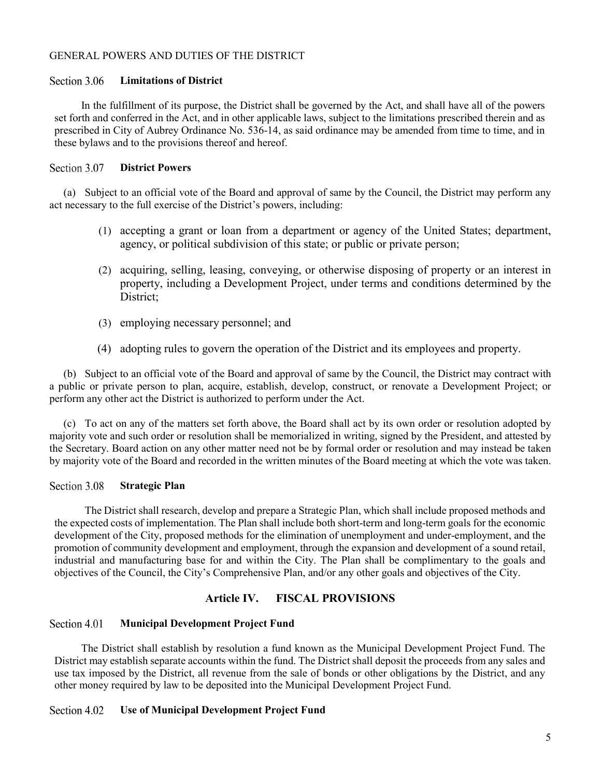### <span id="page-5-0"></span>GENERAL POWERS AND DUTIES OF THE DISTRICT

#### <span id="page-5-1"></span>Section 3.06 **Limitations of District**

In the fulfillment of its purpose, the District shall be governed by the Act, and shall have all of the powers set forth and conferred in the Act, and in other applicable laws, subject to the limitations prescribed therein and as prescribed in City of Aubrey Ordinance No. 536-14, as said ordinance may be amended from time to time, and in these bylaws and to the provisions thereof and hereof.

#### <span id="page-5-2"></span>Section 3.07 **District Powers**

(a) Subject to an official vote of the Board and approval of same by the Council, the District may perform any act necessary to the full exercise of the District's powers, including:

- (1) accepting a grant or loan from a department or agency of the United States; department, agency, or political subdivision of this state; or public or private person;
- (2) acquiring, selling, leasing, conveying, or otherwise disposing of property or an interest in property, including a Development Project, under terms and conditions determined by the District;
- (3) employing necessary personnel; and
- (4) adopting rules to govern the operation of the District and its employees and property.

(b) Subject to an official vote of the Board and approval of same by the Council, the District may contract with a public or private person to plan, acquire, establish, develop, construct, or renovate a Development Project; or perform any other act the District is authorized to perform under the Act.

(c) To act on any of the matters set forth above, the Board shall act by its own order or resolution adopted by majority vote and such order or resolution shall be memorialized in writing, signed by the President, and attested by the Secretary. Board action on any other matter need not be by formal order or resolution and may instead be taken by majority vote of the Board and recorded in the written minutes of the Board meeting at which the vote was taken.

#### <span id="page-5-3"></span>Section 3.08 **Strategic Plan**

The District shall research, develop and prepare a Strategic Plan, which shall include proposed methods and the expected costs of implementation. The Plan shall include both short-term and long-term goals for the economic development of the City, proposed methods for the elimination of unemployment and under-employment, and the promotion of community development and employment, through the expansion and development of a sound retail, industrial and manufacturing base for and within the City. The Plan shall be complimentary to the goals and objectives of the Council, the City's Comprehensive Plan, and/or any other goals and objectives of the City.

### **Article IV. FISCAL PROVISIONS**

#### <span id="page-5-5"></span><span id="page-5-4"></span>Section 4.01 **Municipal Development Project Fund**

The District shall establish by resolution a fund known as the Municipal Development Project Fund. The District may establish separate accounts within the fund. The District shall deposit the proceeds from any sales and use tax imposed by the District, all revenue from the sale of bonds or other obligations by the District, and any other money required by law to be deposited into the Municipal Development Project Fund.

#### <span id="page-5-6"></span>Section 4.02 **Use of Municipal Development Project Fund**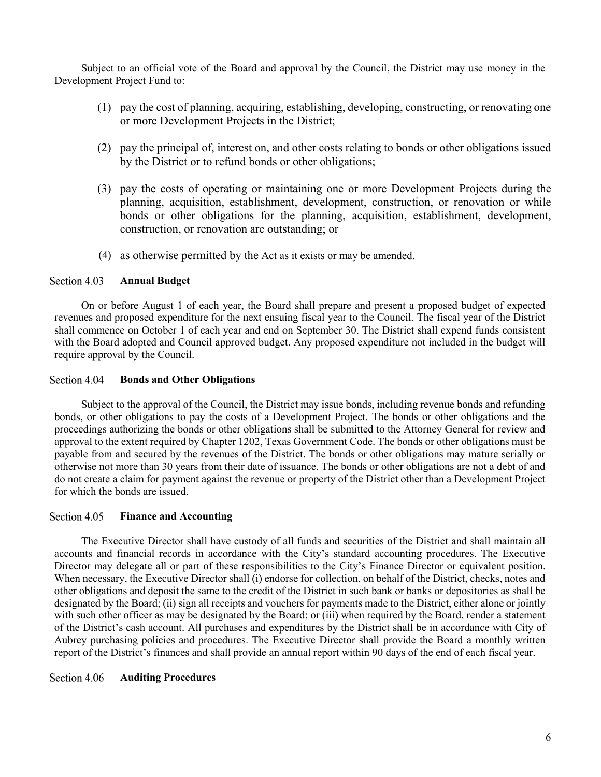Subject to an official vote of the Board and approval by the Council, the District may use money in the Development Project Fund to:

- (1) pay the cost of planning, acquiring, establishing, developing, constructing, or renovating one or more Development Projects in the District;
- (2) pay the principal of, interest on, and other costs relating to bonds or other obligations issued by the District or to refund bonds or other obligations;
- (3) pay the costs of operating or maintaining one or more Development Projects during the planning, acquisition, establishment, development, construction, or renovation or while bonds or other obligations for the planning, acquisition, establishment, development, construction, or renovation are outstanding; or
- (4) as otherwise permitted by the Act as it exists or may be amended.

#### <span id="page-6-0"></span>Section 4.03 **Annual Budget**

On or before August 1 of each year, the Board shall prepare and present a proposed budget of expected revenues and proposed expenditure for the next ensuing fiscal year to the Council. The fiscal year of the District shall commence on October 1 of each year and end on September 30. The District shall expend funds consistent with the Board adopted and Council approved budget. Any proposed expenditure not included in the budget will require approval by the Council.

#### <span id="page-6-1"></span>Section 4.04 **Bonds and Other Obligations**

Subject to the approval of the Council, the District may issue bonds, including revenue bonds and refunding bonds, or other obligations to pay the costs of a Development Project. The bonds or other obligations and the proceedings authorizing the bonds or other obligations shall be submitted to the Attorney General for review and approval to the extent required by Chapter 1202, Texas Government Code. The bonds or other obligations must be payable from and secured by the revenues of the District. The bonds or other obligations may mature serially or otherwise not more than 30 years from their date of issuance. The bonds or other obligations are not a debt of and do not create a claim for payment against the revenue or property of the District other than a Development Project for which the bonds are issued.

#### <span id="page-6-2"></span>Section 4.05 **Finance and Accounting**

The Executive Director shall have custody of all funds and securities of the District and shall maintain all accounts and financial records in accordance with the City's standard accounting procedures. The Executive Director may delegate all or part of these responsibilities to the City's Finance Director or equivalent position. When necessary, the Executive Director shall (i) endorse for collection, on behalf of the District, checks, notes and other obligations and deposit the same to the credit of the District in such bank or banks or depositories as shall be designated by the Board; (ii) sign all receipts and vouchers for payments made to the District, either alone or jointly with such other officer as may be designated by the Board; or (iii) when required by the Board, render a statement of the District's cash account. All purchases and expenditures by the District shall be in accordance with City of Aubrey purchasing policies and procedures. The Executive Director shall provide the Board a monthly written report of the District's finances and shall provide an annual report within 90 days of the end of each fiscal year.

#### <span id="page-6-3"></span>Section 4.06 **Auditing Procedures**